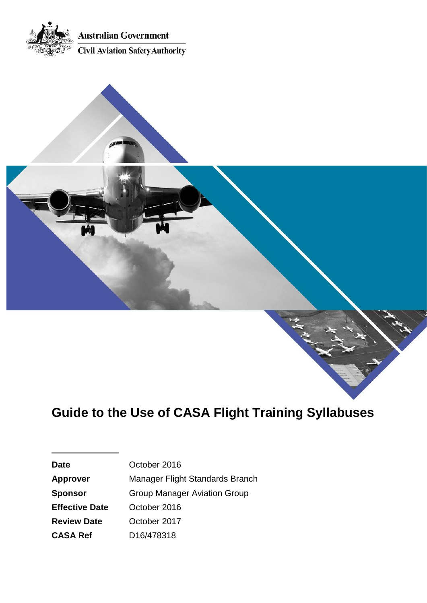



ing the

| <b>Date</b>           | October 2016                        |  |
|-----------------------|-------------------------------------|--|
| <b>Approver</b>       | Manager Flight Standards Branch     |  |
| <b>Sponsor</b>        | <b>Group Manager Aviation Group</b> |  |
| <b>Effective Date</b> | October 2016                        |  |
| <b>Review Date</b>    | October 2017                        |  |
| <b>CASA Ref</b>       | D16/478318                          |  |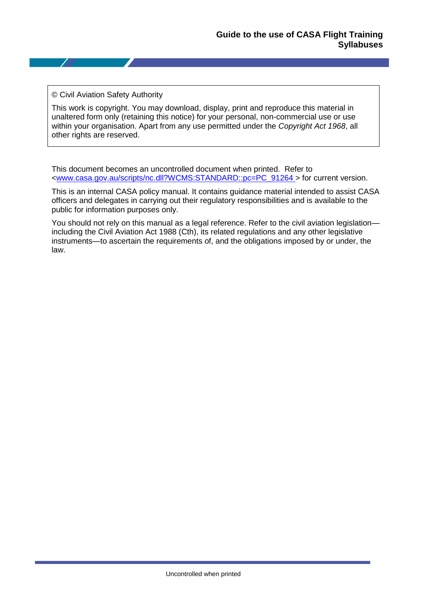#### © Civil Aviation Safety Authority

This work is copyright. You may download, display, print and reproduce this material in unaltered form only (retaining this notice) for your personal, non-commercial use or use within your organisation. Apart from any use permitted under the *Copyright Act 1968*, all other rights are reserved.

This document becomes an uncontrolled document when printed. Refer to [<www.casa.gov.au/scripts/nc.dll?WCMS:STANDARD::pc=PC\\_91264 >](http://casa.gov.au/scripts/nc.dll?WCMS:STANDARD::pc=PC_91264%20) for current version.

This is an internal CASA policy manual. It contains guidance material intended to assist CASA officers and delegates in carrying out their regulatory responsibilities and is available to the public for information purposes only.

You should not rely on this manual as a legal reference. Refer to the civil aviation legislation including the Civil Aviation Act 1988 (Cth), its related regulations and any other legislative instruments—to ascertain the requirements of, and the obligations imposed by or under, the law.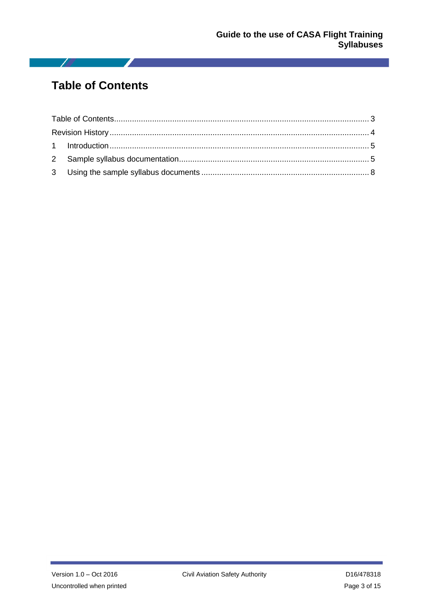## <span id="page-2-0"></span>**Table of Contents**

 $\sqrt{2}$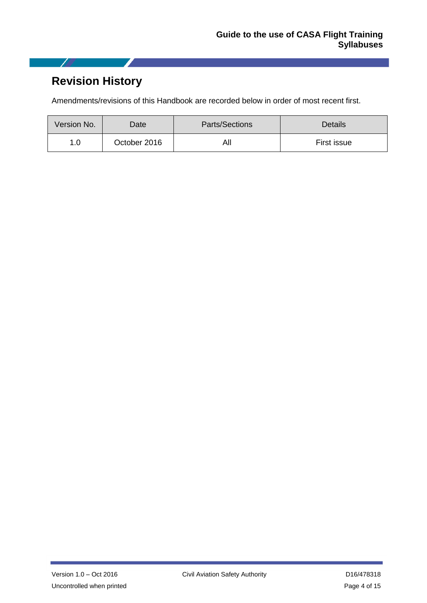# <span id="page-3-0"></span>**Revision History**

I

 $\sim$ 

Amendments/revisions of this Handbook are recorded below in order of most recent first.

| Version No. | Date:        | Parts/Sections | Details     |
|-------------|--------------|----------------|-------------|
| 1.0         | October 2016 | All            | First issue |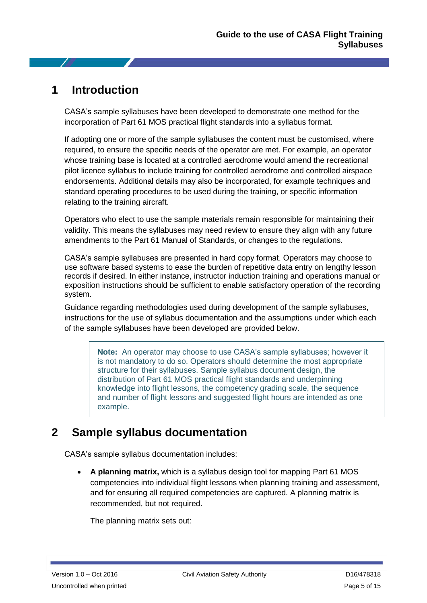### <span id="page-4-0"></span>**1 Introduction**

CASA's sample syllabuses have been developed to demonstrate one method for the incorporation of Part 61 MOS practical flight standards into a syllabus format.

If adopting one or more of the sample syllabuses the content must be customised, where required, to ensure the specific needs of the operator are met. For example, an operator whose training base is located at a controlled aerodrome would amend the recreational pilot licence syllabus to include training for controlled aerodrome and controlled airspace endorsements. Additional details may also be incorporated, for example techniques and standard operating procedures to be used during the training, or specific information relating to the training aircraft.

Operators who elect to use the sample materials remain responsible for maintaining their validity. This means the syllabuses may need review to ensure they align with any future amendments to the Part 61 Manual of Standards, or changes to the regulations.

CASA's sample syllabuses are presented in hard copy format. Operators may choose to use software based systems to ease the burden of repetitive data entry on lengthy lesson records if desired. In either instance, instructor induction training and operations manual or exposition instructions should be sufficient to enable satisfactory operation of the recording system.

Guidance regarding methodologies used during development of the sample syllabuses, instructions for the use of syllabus documentation and the assumptions under which each of the sample syllabuses have been developed are provided below.

> **Note:** An operator may choose to use CASA's sample syllabuses; however it is not mandatory to do so. Operators should determine the most appropriate structure for their syllabuses. Sample syllabus document design, the distribution of Part 61 MOS practical flight standards and underpinning knowledge into flight lessons, the competency grading scale, the sequence and number of flight lessons and suggested flight hours are intended as one example.

### <span id="page-4-1"></span>**2 Sample syllabus documentation**

CASA's sample syllabus documentation includes:

 **A planning matrix,** which is a syllabus design tool for mapping Part 61 MOS competencies into individual flight lessons when planning training and assessment, and for ensuring all required competencies are captured. A planning matrix is recommended, but not required.

The planning matrix sets out: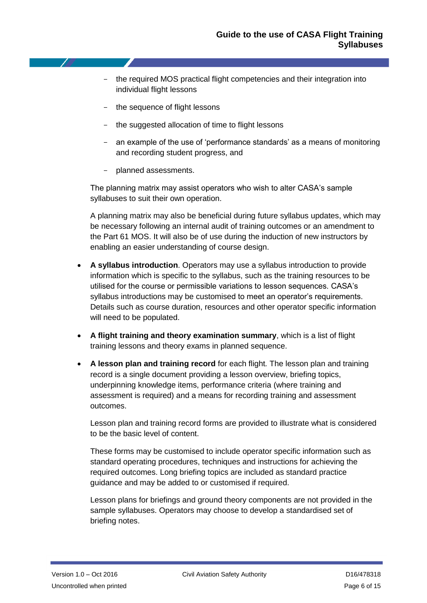- the required MOS practical flight competencies and their integration into individual flight lessons
- the sequence of flight lessons
- the suggested allocation of time to flight lessons
- an example of the use of 'performance standards' as a means of monitoring and recording student progress, and
- planned assessments.

The planning matrix may assist operators who wish to alter CASA's sample syllabuses to suit their own operation.

A planning matrix may also be beneficial during future syllabus updates, which may be necessary following an internal audit of training outcomes or an amendment to the Part 61 MOS. It will also be of use during the induction of new instructors by enabling an easier understanding of course design.

- **A syllabus introduction**. Operators may use a syllabus introduction to provide information which is specific to the syllabus, such as the training resources to be utilised for the course or permissible variations to lesson sequences. CASA's syllabus introductions may be customised to meet an operator's requirements. Details such as course duration, resources and other operator specific information will need to be populated.
- **A flight training and theory examination summary**, which is a list of flight training lessons and theory exams in planned sequence.
- **A lesson plan and training record** for each flight*.* The lesson plan and training record is a single document providing a lesson overview, briefing topics, underpinning knowledge items, performance criteria (where training and assessment is required) and a means for recording training and assessment outcomes.

Lesson plan and training record forms are provided to illustrate what is considered to be the basic level of content.

These forms may be customised to include operator specific information such as standard operating procedures, techniques and instructions for achieving the required outcomes. Long briefing topics are included as standard practice guidance and may be added to or customised if required.

Lesson plans for briefings and ground theory components are not provided in the sample syllabuses. Operators may choose to develop a standardised set of briefing notes.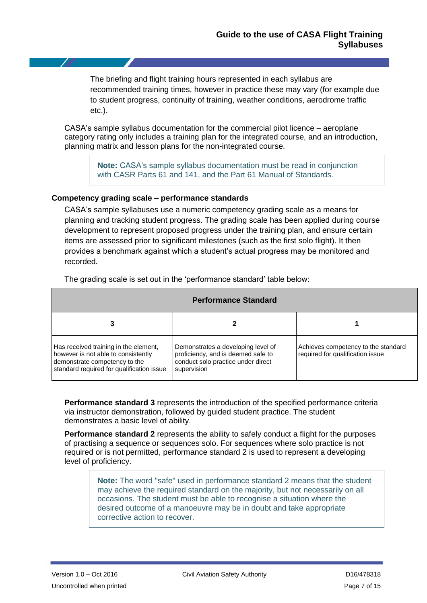The briefing and flight training hours represented in each syllabus are recommended training times, however in practice these may vary (for example due to student progress, continuity of training, weather conditions, aerodrome traffic etc.).

CASA's sample syllabus documentation for the commercial pilot licence – aeroplane category rating only includes a training plan for the integrated course, and an introduction, planning matrix and lesson plans for the non-integrated course.

> **Note:** CASA's sample syllabus documentation must be read in conjunction with CASR Parts 61 and 141, and the Part 61 Manual of Standards.

#### **Competency grading scale – performance standards**

CASA's sample syllabuses use a numeric competency grading scale as a means for planning and tracking student progress. The grading scale has been applied during course development to represent proposed progress under the training plan, and ensure certain items are assessed prior to significant milestones (such as the first solo flight). It then provides a benchmark against which a student's actual progress may be monitored and recorded.

| <b>Performance Standard</b>                                                                                                                                |                                                                                                                               |                                                                         |  |  |  |
|------------------------------------------------------------------------------------------------------------------------------------------------------------|-------------------------------------------------------------------------------------------------------------------------------|-------------------------------------------------------------------------|--|--|--|
|                                                                                                                                                            |                                                                                                                               |                                                                         |  |  |  |
| Has received training in the element,<br>however is not able to consistently<br>demonstrate competency to the<br>standard required for qualification issue | Demonstrates a developing level of<br>proficiency, and is deemed safe to<br>conduct solo practice under direct<br>supervision | Achieves competency to the standard<br>required for qualification issue |  |  |  |

The grading scale is set out in the 'performance standard' table below:

**Performance standard 3** represents the introduction of the specified performance criteria via instructor demonstration, followed by guided student practice. The student demonstrates a basic level of ability.

**Performance standard 2** represents the ability to safely conduct a flight for the purposes of practising a sequence or sequences solo. For sequences where solo practice is not required or is not permitted, performance standard 2 is used to represent a developing level of proficiency.

> **Note:** The word "safe" used in performance standard 2 means that the student may achieve the required standard on the majority, but not necessarily on all occasions. The student must be able to recognise a situation where the desired outcome of a manoeuvre may be in doubt and take appropriate corrective action to recover.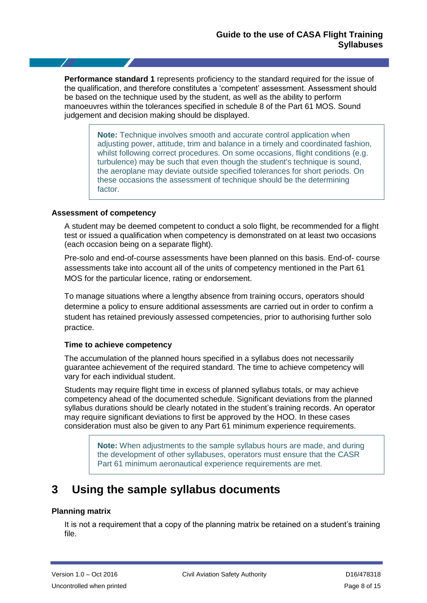**Performance standard 1** represents proficiency to the standard required for the issue of the qualification, and therefore constitutes a 'competent' assessment. Assessment should be based on the technique used by the student, as well as the ability to perform manoeuvres within the tolerances specified in schedule 8 of the Part 61 MOS. Sound judgement and decision making should be displayed.

> **Note:** Technique involves smooth and accurate control application when adjusting power, attitude, trim and balance in a timely and coordinated fashion, whilst following correct procedures. On some occasions, flight conditions (e.g. turbulence) may be such that even though the student's technique is sound, the aeroplane may deviate outside specified tolerances for short periods. On these occasions the assessment of technique should be the determining factor.

#### **Assessment of competency**

A student may be deemed competent to conduct a solo flight, be recommended for a flight test or issued a qualification when competency is demonstrated on at least two occasions (each occasion being on a separate flight).

Pre-solo and end-of-course assessments have been planned on this basis. End-of- course assessments take into account all of the units of competency mentioned in the Part 61 MOS for the particular licence, rating or endorsement.

To manage situations where a lengthy absence from training occurs, operators should determine a policy to ensure additional assessments are carried out in order to confirm a student has retained previously assessed competencies, prior to authorising further solo practice.

#### **Time to achieve competency**

The accumulation of the planned hours specified in a syllabus does not necessarily guarantee achievement of the required standard. The time to achieve competency will vary for each individual student.

Students may require flight time in excess of planned syllabus totals, or may achieve competency ahead of the documented schedule. Significant deviations from the planned syllabus durations should be clearly notated in the student's training records. An operator may require significant deviations to first be approved by the HOO. In these cases consideration must also be given to any Part 61 minimum experience requirements.

> **Note:** When adjustments to the sample syllabus hours are made, and during the development of other syllabuses, operators must ensure that the CASR Part 61 minimum aeronautical experience requirements are met.

### <span id="page-7-0"></span>**3 Using the sample syllabus documents**

#### **Planning matrix**

It is not a requirement that a copy of the planning matrix be retained on a student's training file.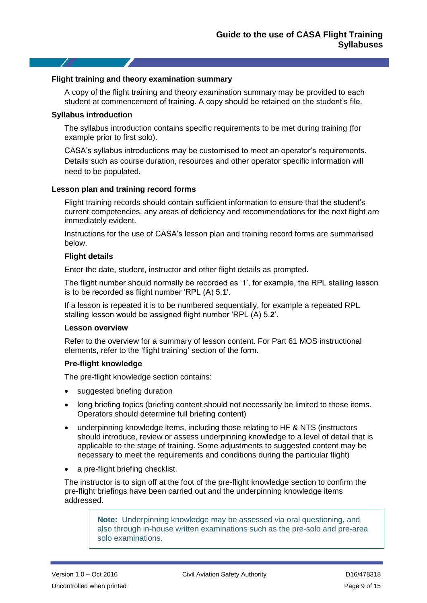#### **Flight training and theory examination summary**

A copy of the flight training and theory examination summary may be provided to each student at commencement of training. A copy should be retained on the student's file.

#### **Syllabus introduction**

The syllabus introduction contains specific requirements to be met during training (for example prior to first solo).

CASA's syllabus introductions may be customised to meet an operator's requirements. Details such as course duration, resources and other operator specific information will need to be populated.

#### **Lesson plan and training record forms**

Flight training records should contain sufficient information to ensure that the student's current competencies, any areas of deficiency and recommendations for the next flight are immediately evident.

Instructions for the use of CASA's lesson plan and training record forms are summarised below.

#### **Flight details**

Enter the date, student, instructor and other flight details as prompted.

The flight number should normally be recorded as '1', for example, the RPL stalling lesson is to be recorded as flight number 'RPL (A) 5.**1**'.

If a lesson is repeated it is to be numbered sequentially, for example a repeated RPL stalling lesson would be assigned flight number 'RPL (A) 5.**2**'.

#### **Lesson overview**

Refer to the overview for a summary of lesson content. For Part 61 MOS instructional elements, refer to the 'flight training' section of the form.

#### **Pre***-***flight knowledge**

The pre-flight knowledge section contains:

- suggested briefing duration
- long briefing topics (briefing content should not necessarily be limited to these items. Operators should determine full briefing content)
- underpinning knowledge items, including those relating to HF & NTS (instructors should introduce, review or assess underpinning knowledge to a level of detail that is applicable to the stage of training. Some adjustments to suggested content may be necessary to meet the requirements and conditions during the particular flight)
- a pre-flight briefing checklist.

The instructor is to sign off at the foot of the pre-flight knowledge section to confirm the pre-flight briefings have been carried out and the underpinning knowledge items addressed.

> **Note:** Underpinning knowledge may be assessed via oral questioning, and also through in-house written examinations such as the pre-solo and pre-area solo examinations.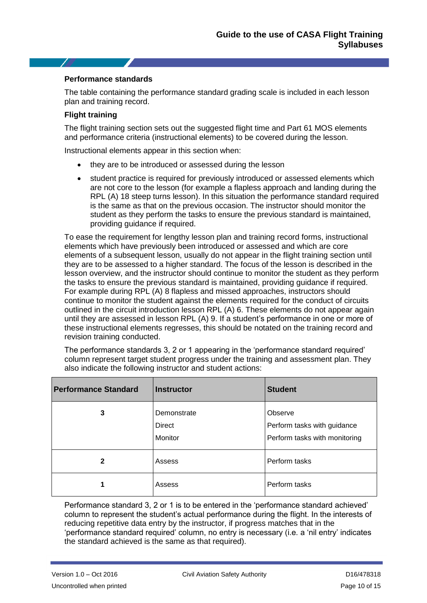#### **Performance standards**

The table containing the performance standard grading scale is included in each lesson plan and training record.

#### **Flight training**

The flight training section sets out the suggested flight time and Part 61 MOS elements and performance criteria (instructional elements) to be covered during the lesson.

Instructional elements appear in this section when:

- they are to be introduced or assessed during the lesson
- student practice is required for previously introduced or assessed elements which are not core to the lesson (for example a flapless approach and landing during the RPL (A) 18 steep turns lesson). In this situation the performance standard required is the same as that on the previous occasion. The instructor should monitor the student as they perform the tasks to ensure the previous standard is maintained, providing guidance if required.

To ease the requirement for lengthy lesson plan and training record forms, instructional elements which have previously been introduced or assessed and which are core elements of a subsequent lesson, usually do not appear in the flight training section until they are to be assessed to a higher standard. The focus of the lesson is described in the lesson overview, and the instructor should continue to monitor the student as they perform the tasks to ensure the previous standard is maintained, providing guidance if required. For example during RPL (A) 8 flapless and missed approaches, instructors should continue to monitor the student against the elements required for the conduct of circuits outlined in the circuit introduction lesson RPL (A) 6. These elements do not appear again until they are assessed in lesson RPL (A) 9. If a student's performance in one or more of these instructional elements regresses, this should be notated on the training record and revision training conducted.

The performance standards 3, 2 or 1 appearing in the 'performance standard required' column represent target student progress under the training and assessment plan. They also indicate the following instructor and student actions:

| <b>Performance Standard</b> | <b>Instructor</b>                       | <b>Student</b>                                                          |
|-----------------------------|-----------------------------------------|-------------------------------------------------------------------------|
| 3                           | Demonstrate<br><b>Direct</b><br>Monitor | Observe<br>Perform tasks with guidance<br>Perform tasks with monitoring |
| $\mathbf{2}$                | Assess                                  | Perform tasks                                                           |
| 1                           | Assess                                  | Perform tasks                                                           |

Performance standard 3, 2 or 1 is to be entered in the 'performance standard achieved' column to represent the student's actual performance during the flight. In the interests of reducing repetitive data entry by the instructor, if progress matches that in the 'performance standard required' column, no entry is necessary (i.e. a 'nil entry' indicates the standard achieved is the same as that required).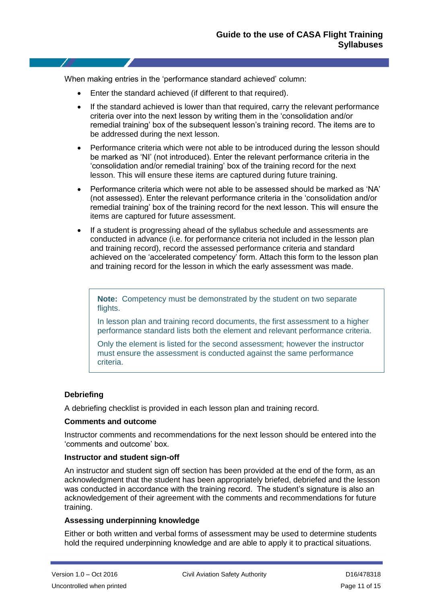When making entries in the 'performance standard achieved' column:

- Enter the standard achieved (if different to that required).
- If the standard achieved is lower than that required, carry the relevant performance criteria over into the next lesson by writing them in the 'consolidation and/or remedial training' box of the subsequent lesson's training record. The items are to be addressed during the next lesson.
- Performance criteria which were not able to be introduced during the lesson should be marked as 'NI' (not introduced). Enter the relevant performance criteria in the 'consolidation and/or remedial training' box of the training record for the next lesson. This will ensure these items are captured during future training.
- Performance criteria which were not able to be assessed should be marked as 'NA' (not assessed). Enter the relevant performance criteria in the 'consolidation and/or remedial training' box of the training record for the next lesson. This will ensure the items are captured for future assessment.
- If a student is progressing ahead of the syllabus schedule and assessments are conducted in advance (i.e. for performance criteria not included in the lesson plan and training record), record the assessed performance criteria and standard achieved on the 'accelerated competency' form. Attach this form to the lesson plan and training record for the lesson in which the early assessment was made.

**Note:** Competency must be demonstrated by the student on two separate flights.

In lesson plan and training record documents, the first assessment to a higher performance standard lists both the element and relevant performance criteria.

Only the element is listed for the second assessment; however the instructor must ensure the assessment is conducted against the same performance criteria.

#### **Debriefing**

A debriefing checklist is provided in each lesson plan and training record.

#### **Comments and outcome**

Instructor comments and recommendations for the next lesson should be entered into the 'comments and outcome' box.

#### **Instructor and student sign-off**

An instructor and student sign off section has been provided at the end of the form, as an acknowledgment that the student has been appropriately briefed, debriefed and the lesson was conducted in accordance with the training record. The student's signature is also an acknowledgement of their agreement with the comments and recommendations for future training.

#### **Assessing underpinning knowledge**

Either or both written and verbal forms of assessment may be used to determine students hold the required underpinning knowledge and are able to apply it to practical situations.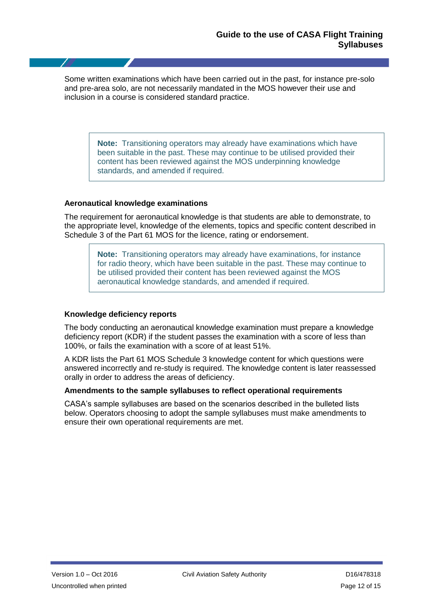Some written examinations which have been carried out in the past, for instance pre-solo and pre-area solo, are not necessarily mandated in the MOS however their use and inclusion in a course is considered standard practice.

> **Note:** Transitioning operators may already have examinations which have been suitable in the past. These may continue to be utilised provided their content has been reviewed against the MOS underpinning knowledge standards, and amended if required.

#### **Aeronautical knowledge examinations**

The requirement for aeronautical knowledge is that students are able to demonstrate, to the appropriate level, knowledge of the elements, topics and specific content described in Schedule 3 of the Part 61 MOS for the licence, rating or endorsement.

> **Note:** Transitioning operators may already have examinations, for instance for radio theory, which have been suitable in the past. These may continue to be utilised provided their content has been reviewed against the MOS aeronautical knowledge standards, and amended if required.

#### **Knowledge deficiency reports**

The body conducting an aeronautical knowledge examination must prepare a knowledge deficiency report (KDR) if the student passes the examination with a score of less than 100%, or fails the examination with a score of at least 51%.

A KDR lists the Part 61 MOS Schedule 3 knowledge content for which questions were answered incorrectly and re-study is required. The knowledge content is later reassessed orally in order to address the areas of deficiency.

#### **Amendments to the sample syllabuses to reflect operational requirements**

CASA's sample syllabuses are based on the scenarios described in the bulleted lists below. Operators choosing to adopt the sample syllabuses must make amendments to ensure their own operational requirements are met.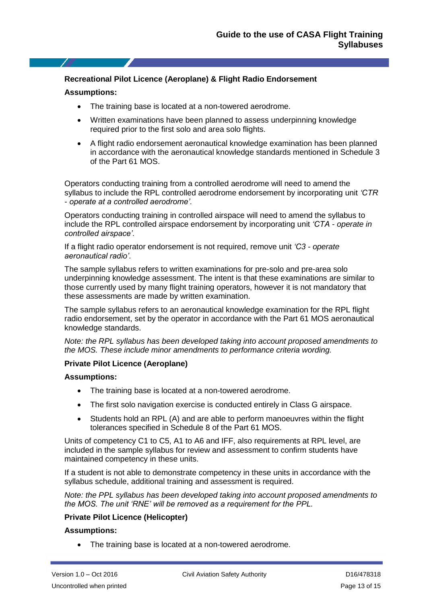#### **Recreational Pilot Licence (Aeroplane) & Flight Radio Endorsement**

#### **Assumptions:**

- The training base is located at a non-towered aerodrome.
- Written examinations have been planned to assess underpinning knowledge required prior to the first solo and area solo flights.
- A flight radio endorsement aeronautical knowledge examination has been planned in accordance with the aeronautical knowledge standards mentioned in Schedule 3 of the Part 61 MOS.

Operators conducting training from a controlled aerodrome will need to amend the syllabus to include the RPL controlled aerodrome endorsement by incorporating unit *'CTR - operate at a controlled aerodrome'*.

Operators conducting training in controlled airspace will need to amend the syllabus to include the RPL controlled airspace endorsement by incorporating unit *'CTA - operate in controlled airspace'*.

If a flight radio operator endorsement is not required, remove unit *'C3 - operate aeronautical radio'*.

The sample syllabus refers to written examinations for pre-solo and pre-area solo underpinning knowledge assessment. The intent is that these examinations are similar to those currently used by many flight training operators, however it is not mandatory that these assessments are made by written examination.

The sample syllabus refers to an aeronautical knowledge examination for the RPL flight radio endorsement, set by the operator in accordance with the Part 61 MOS aeronautical knowledge standards.

*Note: the RPL syllabus has been developed taking into account proposed amendments to the MOS. These include minor amendments to performance criteria wording.*

#### **Private Pilot Licence (Aeroplane)**

#### **Assumptions:**

- The training base is located at a non-towered aerodrome.
- The first solo navigation exercise is conducted entirely in Class G airspace.
- Students hold an RPL (A) and are able to perform manoeuvres within the flight tolerances specified in Schedule 8 of the Part 61 MOS.

Units of competency C1 to C5, A1 to A6 and IFF, also requirements at RPL level, are included in the sample syllabus for review and assessment to confirm students have maintained competency in these units.

If a student is not able to demonstrate competency in these units in accordance with the syllabus schedule, additional training and assessment is required.

*Note: the PPL syllabus has been developed taking into account proposed amendments to the MOS. The unit 'RNE' will be removed as a requirement for the PPL.*

#### **Private Pilot Licence (Helicopter)**

#### **Assumptions:**

The training base is located at a non-towered aerodrome.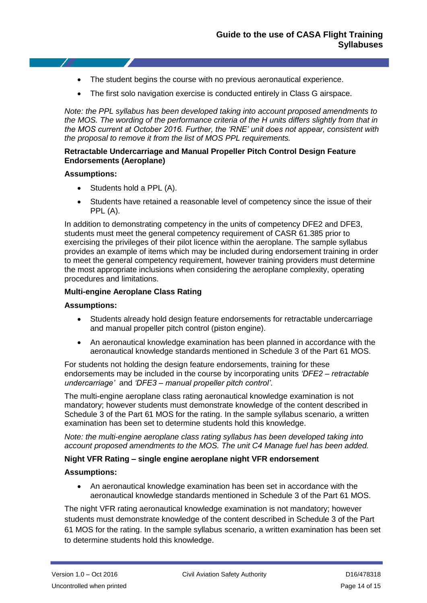- The student begins the course with no previous aeronautical experience.
- The first solo navigation exercise is conducted entirely in Class G airspace.

*Note: the PPL syllabus has been developed taking into account proposed amendments to the MOS. The wording of the performance criteria of the H units differs slightly from that in the MOS current at October 2016. Further, the 'RNE' unit does not appear, consistent with the proposal to remove it from the list of MOS PPL requirements.* 

#### **Retractable Undercarriage and Manual Propeller Pitch Control Design Feature Endorsements (Aeroplane)**

#### **Assumptions:**

- Students hold a PPL (A).
- Students have retained a reasonable level of competency since the issue of their PPL (A).

In addition to demonstrating competency in the units of competency DFE2 and DFE3, students must meet the general competency requirement of CASR 61.385 prior to exercising the privileges of their pilot licence within the aeroplane. The sample syllabus provides an example of items which may be included during endorsement training in order to meet the general competency requirement, however training providers must determine the most appropriate inclusions when considering the aeroplane complexity, operating procedures and limitations.

#### **Multi-engine Aeroplane Class Rating**

#### **Assumptions:**

- Students already hold design feature endorsements for retractable undercarriage and manual propeller pitch control (piston engine).
- An aeronautical knowledge examination has been planned in accordance with the aeronautical knowledge standards mentioned in Schedule 3 of the Part 61 MOS.

For students not holding the design feature endorsements, training for these endorsements may be included in the course by incorporating units *'DFE2 – retractable undercarriage'* and *'DFE3 – manual propeller pitch control'*.

The multi-engine aeroplane class rating aeronautical knowledge examination is not mandatory; however students must demonstrate knowledge of the content described in Schedule 3 of the Part 61 MOS for the rating. In the sample syllabus scenario, a written examination has been set to determine students hold this knowledge.

*Note: the multi-engine aeroplane class rating syllabus has been developed taking into account proposed amendments to the MOS. The unit C4 Manage fuel has been added.*

#### **Night VFR Rating – single engine aeroplane night VFR endorsement**

#### **Assumptions:**

 An aeronautical knowledge examination has been set in accordance with the aeronautical knowledge standards mentioned in Schedule 3 of the Part 61 MOS.

The night VFR rating aeronautical knowledge examination is not mandatory; however students must demonstrate knowledge of the content described in Schedule 3 of the Part 61 MOS for the rating. In the sample syllabus scenario, a written examination has been set to determine students hold this knowledge.